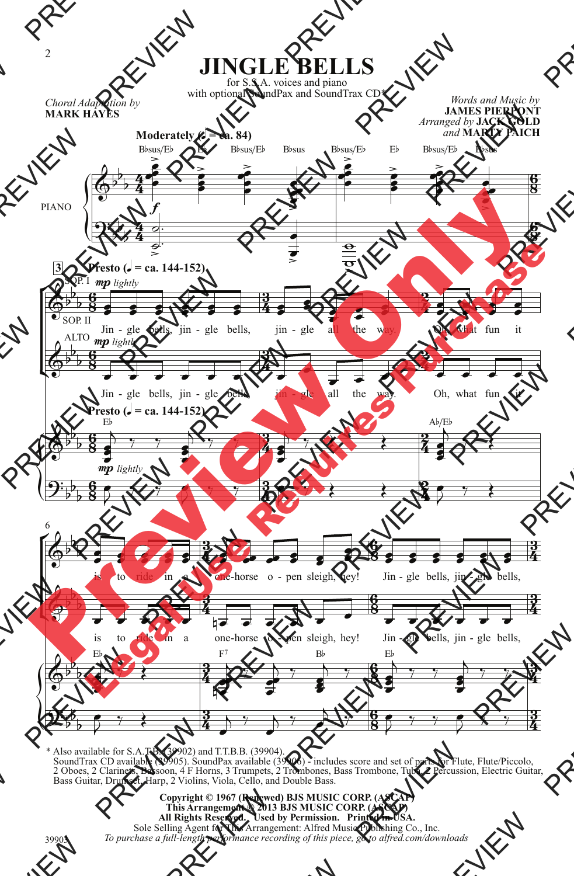

\* Also available for S.A.T.B. (39902) and T.T.B.B. (39904). SoundTrax CD available (39905). SoundPax available (39906) - includes score and set of parts for Flute, Flute/Piccolo, 2 Oboes, 2 Clarinets, Bassoon, 4 F Horns, 3 Trumpets, 2 Trombones, Bass Trombone, Tuba, 2 Percussion, Electric Guitar, Bass Guitar, Drumset, Harp, 2 Violins, Viola, Cello, and Double Bass.

39903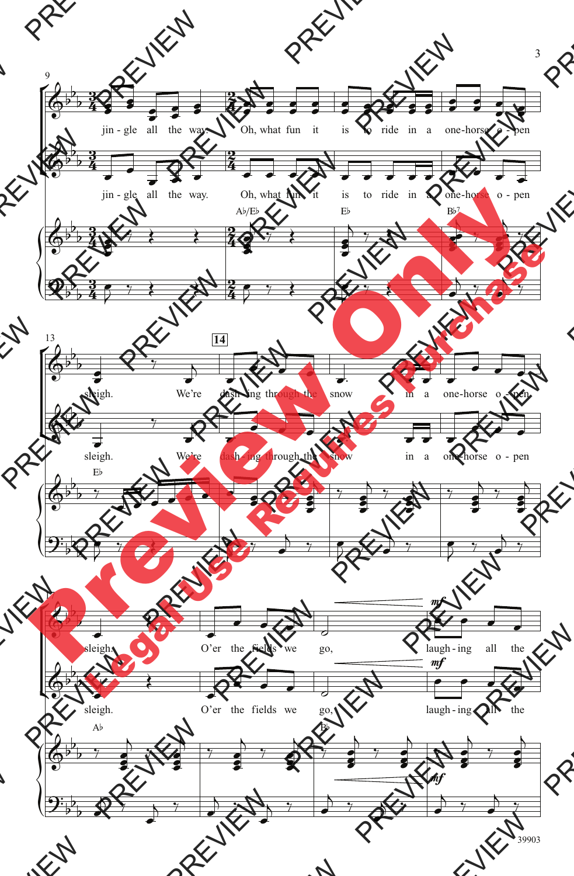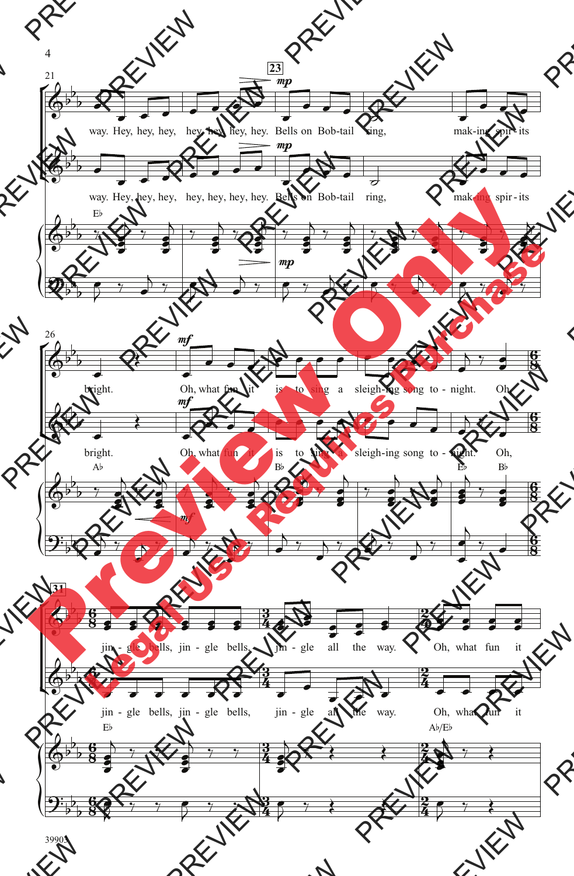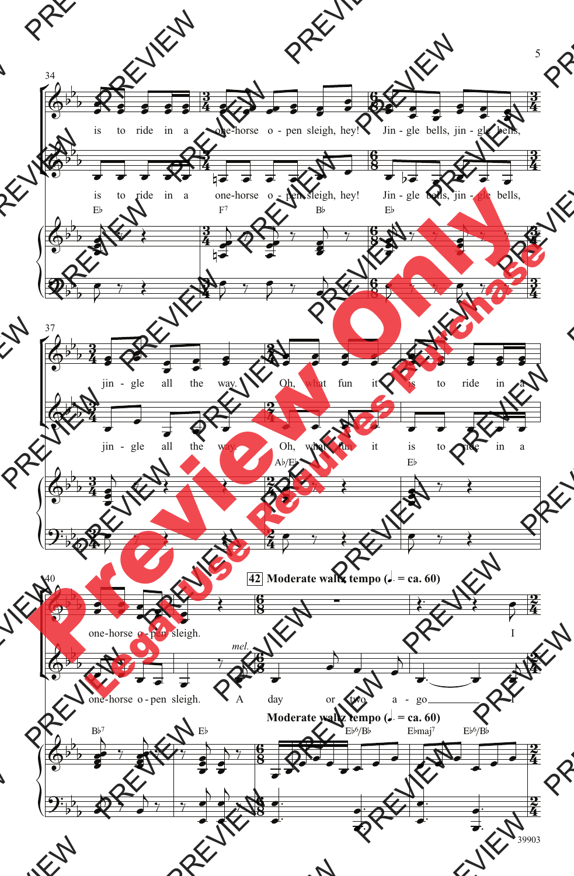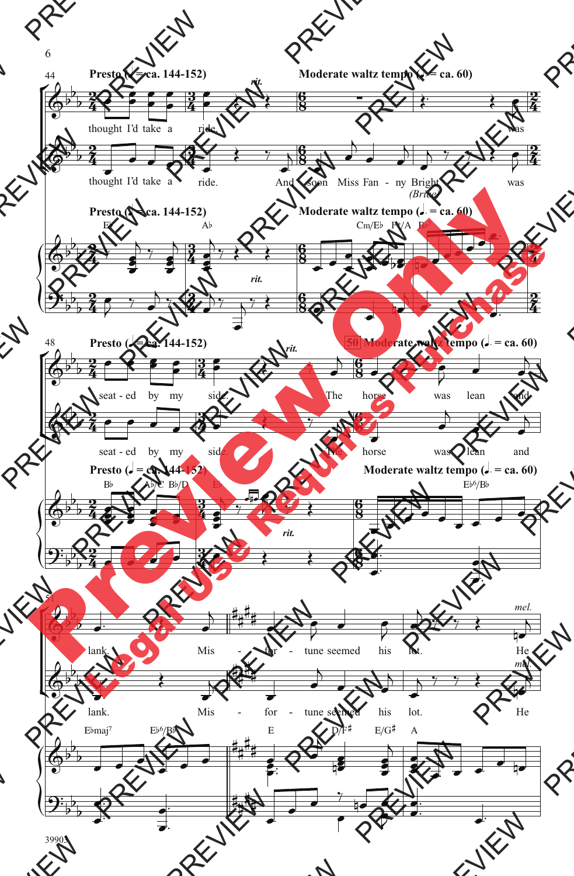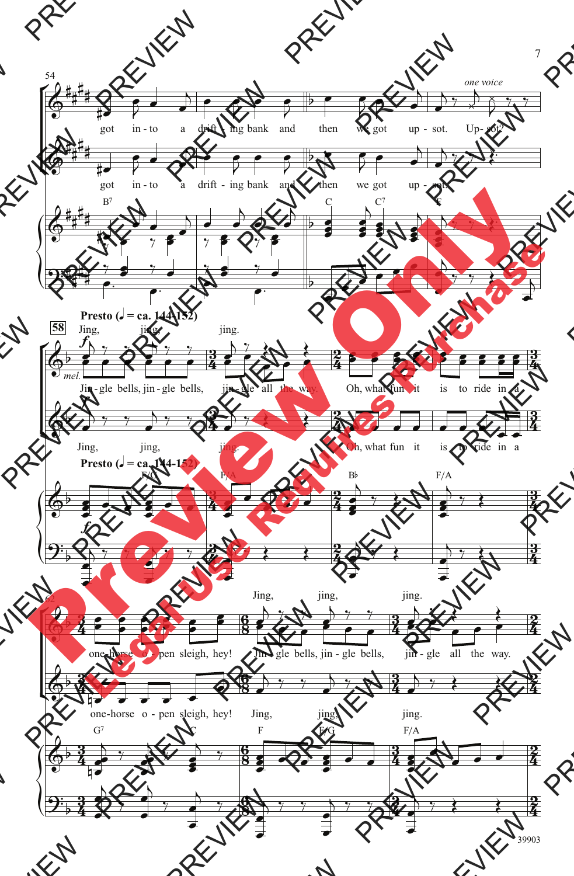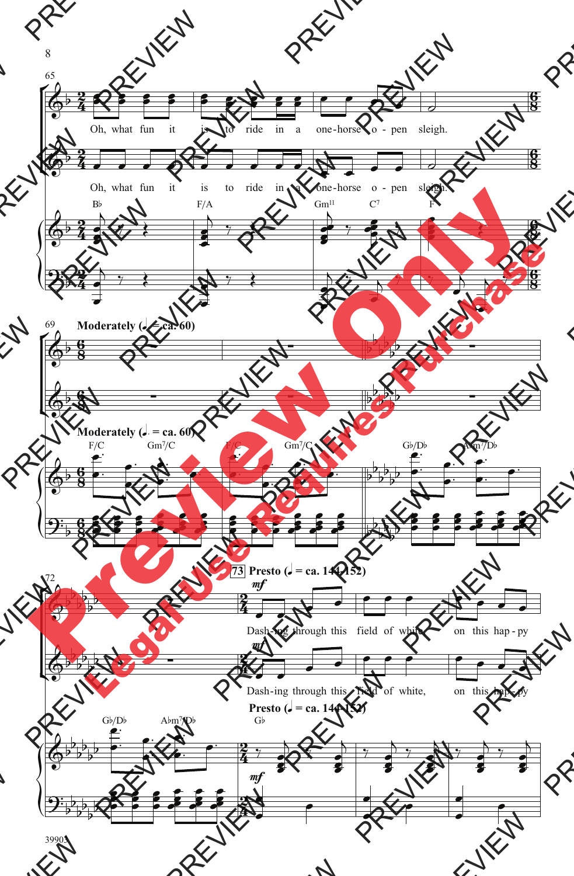

39903

8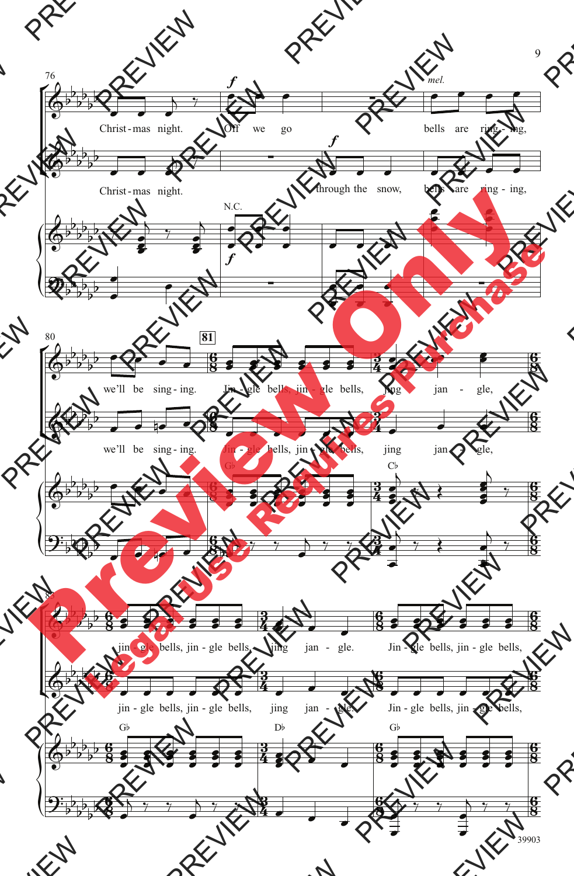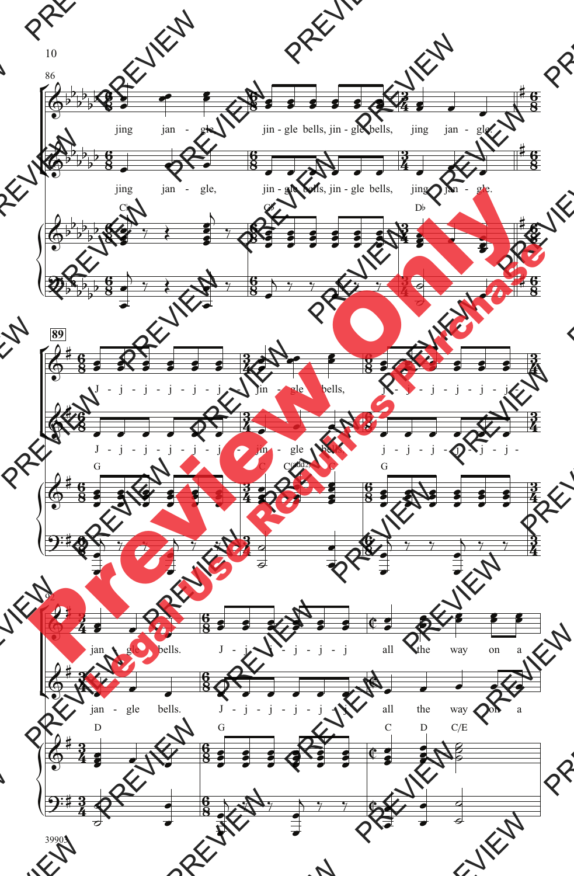

39903